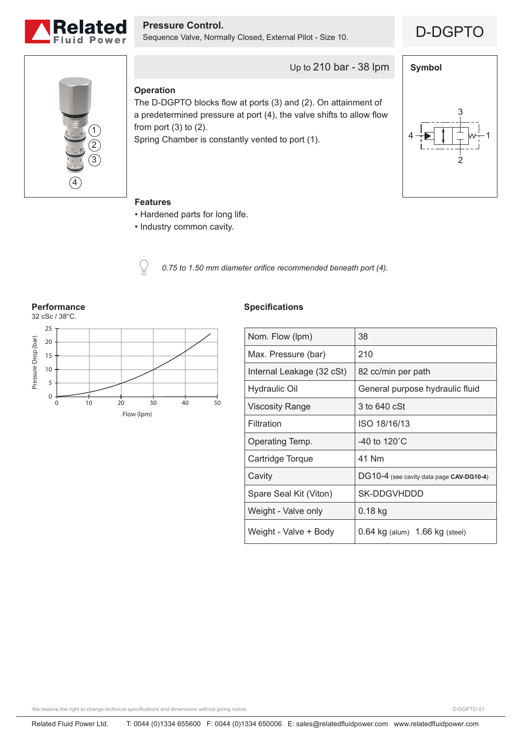

**Pressure Control.**<br>Sequence Valve, Normally Closed, External Pilot - Size 10. **D-DGPTO** 





## Up to 210 bar - 38 lpm

#### **Operation**

The D-DGPTO blocks flow at ports (3) and (2). On attainment of a predetermined pressure at port (4), the valve shifts to allow flow from port  $(3)$  to  $(2)$ .

Spring Chamber is constantly vented to port (1).



#### **Features**

- Hardened parts for long life.
- Industry common cavity.



*0.75 to 1.50 mm diameter orifice recommended beneath port (4).*



#### **Specifications**

| Nom. Flow (lpm)           | 38                                       |
|---------------------------|------------------------------------------|
| Max. Pressure (bar)       | 210                                      |
| Internal Leakage (32 cSt) | 82 cc/min per path                       |
| <b>Hydraulic Oil</b>      | General purpose hydraulic fluid          |
| <b>Viscosity Range</b>    | 3 to 640 cSt                             |
| Filtration                | ISO 18/16/13                             |
| Operating Temp.           | -40 to 120 $^{\circ}$ C                  |
| Cartridge Torque          | 41 Nm                                    |
| Cavity                    | DG10-4 (see cavity data page CAV-DG10-4) |
| Spare Seal Kit (Viton)    | SK-DDGVHDDD                              |
| Weight - Valve only       | 0.18 kg                                  |
| Weight - Valve + Body     | $0.64$ kg (alum) $1.66$ kg (steel)       |